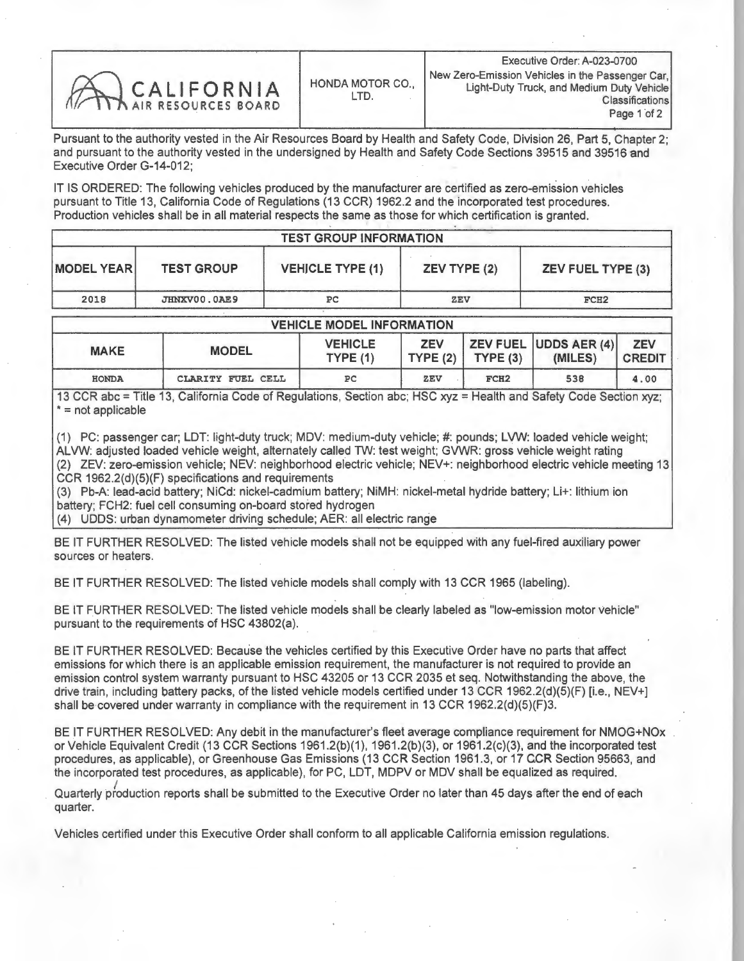| CALIFORNIA |  |  |
|------------|--|--|
|            |  |  |
|            |  |  |
|            |  |  |

Pursuant to the authority vested in the Air Resources Board by Health and Safety Code, Division 26, Part 5, Chapter 2; and pursuant to the authority vested in the undersigned by Health and Safety Code Sections 39515 and 39516 and Executive Order G-14-012;

IT IS ORDERED: The following vehicles produced by the manufacturer are certified as zero-emission vehicles pursuant to Title 13, California Code of Regulations (13 CCR) 1962.2 and the incorporated test procedures. Production vehicles shall be in all material respects the same as those for which certification is granted.

| <b>TEST GROUP INFORMATION</b> |                   |                         |                     |                          |  |  |  |  |
|-------------------------------|-------------------|-------------------------|---------------------|--------------------------|--|--|--|--|
| <b>MODEL YEAR</b>             | <b>TEST GROUP</b> | <b>VEHICLE TYPE (1)</b> | <b>ZEV TYPE (2)</b> | <b>ZEV FUEL TYPE (3)</b> |  |  |  |  |
| 2018                          | JHNXV00.0AE9      | РC                      | ZEV                 | FCH <sub>2</sub>         |  |  |  |  |

| <b>VEHICLE MODEL INFORMATION</b> |                   |                           |            |                       |                                      |                             |  |  |  |  |  |
|----------------------------------|-------------------|---------------------------|------------|-----------------------|--------------------------------------|-----------------------------|--|--|--|--|--|
| <b>MAKE</b>                      | <b>MODEL</b>      | <b>VEHICLE</b><br>TYPE(1) | <b>ZEV</b> | TYPE $(2)$ TYPE $(3)$ | $ $ ZEV FUEL UDDS AER (4)<br>(MILES) | <b>ZEV</b><br><b>CREDIT</b> |  |  |  |  |  |
| <b>HONDA</b>                     | CLARITY FUEL CELL | PC                        | ZEV        | FCH <sub>2</sub>      | 538                                  | 4.00                        |  |  |  |  |  |

13 CCR abc = Title 13, California Code of Regulations, Section abc; HSC xyz = Health and Safety Code Section xyz; \*= not applicable

(1) PC: passenger car; LDT: light-duty truck; MDV: medium-duty vehicle; #: pounds; LVW: loaded vehicle weight; ALVW: adjusted loaded vehicle weight, alternately called TW: test weight; GVWR: gross vehicle weight rating (2) ZEV: zero-emission vehicle; NEV: neighborhood electric vehicle; NEV+: neighborhood electric vehicle meeting 13 CCR 1962.2(d)(5)(F) specifications and requirements

(3) Pb-A: lead-acid battery; NiCd: nickel-cadmium battery; NIMH: nickel-metal hydride battery; Lit: lithium ion battery; FCH2: fuel cell consuming on-board stored hydrogen

(4) UDDS: urban dynamometer driving schedule; AER: all electric range

BE IT FURTHER RESOLVED: The listed vehicle models shall not be equipped with any fuel-fired auxiliary power sources or heaters.

BE IT FURTHER RESOLVED: The listed vehicle models shall comply with 13 CCR 1965 (labeling).

BE IT FURTHER RESOLVED: The listed vehicle models shall be clearly labeled as "low-emission motor vehicle" pursuant to the requirements of HSC 43802(a).

BE IT FURTHER RESOLVED: Because the vehicles certified by this Executive Order have no parts that affect emissions for which there is an applicable emission requirement, the manufacturer is not required to provide an emission control system warranty pursuant to HSC 43205 or 13 CCR 2035 et seq. Notwithstanding the above, the drive train, including battery packs, of the listed vehicle models certified under 13 CCR 1962.2(d)(5)(F) [i.e., NEV+] shall be covered under warranty in compliance with the requirement in 13 CCR 1962.2(d)(5)(F)3.

BE IT FURTHER RESOLVED: Any debit in the manufacturer's fleet average compliance requirement for NMOG+NOx or Vehicle Equivalent Credit (13 CCR Sections 1961.2(b)(1), 1961.2(b)(3), or 1961.2(c)(3), and the incorporated test procedures, as applicable), or Greenhouse Gas Emissions (13 CCR Section 1961.3, or 17 CCR Section 95663, and the incorporated test procedures, as applicable), for PC, LDT, MDPV or MDV shall be equalized as required.

Quarterly production reports shall be submitted to the Executive Order no later than 45 days after the end of each quarter.

Vehicles certified under this Executive Order shall conform to all applicable California emission regulations.